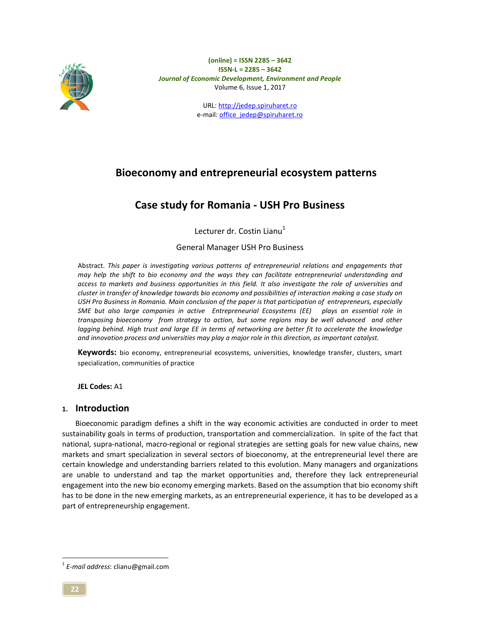

> URL: http://jedep.spiruharet.ro e-mail: office\_jedep@spiruharet.ro

# **Bioeconomy and entrepreneurial ecosystem patterns**

# **Case study for Romania - USH Pro Business**

Lecturer dr. Costin Lianu $<sup>1</sup>$ </sup>

# General Manager USH Pro Business

Abstract. *This paper is investigating various patterns of entrepreneurial relations and engagements that may help the shift to bio economy and the ways they can facilitate entrepreneurial understanding and access to markets and business opportunities in this field. It also investigate the role of universities and cluster in transfer of knowledge towards bio economy and possibilities of interaction making a case study on USH Pro Business in Romania. Main conclusion of the paper is that participation of entrepreneurs, especially SME but also large companies in active Entrepreneurial Ecosystems (EE) plays an essential role in transposing bioeconomy from strategy to action, but some regions may be well advanced and other lagging behind. High trust and large EE in terms of networking are better fit to accelerate the knowledge and innovation process and universities may play a major role in this direction, as important catalyst.* 

**Keywords:** bio economy, entrepreneurial ecosystems, universities, knowledge transfer, clusters, smart specialization, communities of practice

**JEL Codes:** A1

# **1. Introduction**

Bioeconomic paradigm defines a shift in the way economic activities are conducted in order to meet sustainability goals in terms of production, transportation and commercialization. In spite of the fact that national, supra-national, macro-regional or regional strategies are setting goals for new value chains, new markets and smart specialization in several sectors of bioeconomy, at the entrepreneurial level there are certain knowledge and understanding barriers related to this evolution. Many managers and organizations are unable to understand and tap the market opportunities and, therefore they lack entrepreneurial engagement into the new bio economy emerging markets. Based on the assumption that bio economy shift has to be done in the new emerging markets, as an entrepreneurial experience, it has to be developed as a part of entrepreneurship engagement.

 $\overline{a}$ 

<sup>1</sup> *E-mail address*: clianu@gmail.com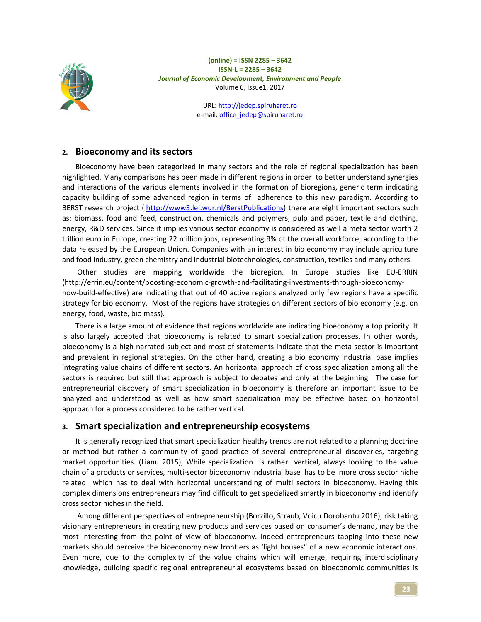

> URL: http://jedep.spiruharet.ro e-mail: office\_jedep@spiruharet.ro

## **2. Bioeconomy and its sectors**

Bioeconomy have been categorized in many sectors and the role of regional specialization has been highlighted. Many comparisons has been made in different regions in order to better understand synergies and interactions of the various elements involved in the formation of bioregions, generic term indicating capacity building of some advanced region in terms of adherence to this new paradigm. According to BERST research project ( http://www3.lei.wur.nl/BerstPublications) there are eight important sectors such as: biomass, food and feed, construction, chemicals and polymers, pulp and paper, textile and clothing, energy, R&D services. Since it implies various sector economy is considered as well a meta sector worth 2 trillion euro in Europe, creating 22 million jobs, representing 9% of the overall workforce, according to the data released by the European Union. Companies with an interest in bio economy may include agriculture and food industry, green chemistry and industrial biotechnologies, construction, textiles and many others.

 Other studies are mapping worldwide the bioregion. In Europe studies like EU-ERRIN (http://errin.eu/content/boosting-economic-growth-and-facilitating-investments-through-bioeconomyhow-build-effective) are indicating that out of 40 active regions analyzed only few regions have a specific strategy for bio economy. Most of the regions have strategies on different sectors of bio economy (e.g. on energy, food, waste, bio mass).

There is a large amount of evidence that regions worldwide are indicating bioeconomy a top priority. It is also largely accepted that bioeconomy is related to smart specialization processes. In other words, bioeconomy is a high narrated subject and most of statements indicate that the meta sector is important and prevalent in regional strategies. On the other hand, creating a bio economy industrial base implies integrating value chains of different sectors. An horizontal approach of cross specialization among all the sectors is required but still that approach is subject to debates and only at the beginning. The case for entrepreneurial discovery of smart specialization in bioeconomy is therefore an important issue to be analyzed and understood as well as how smart specialization may be effective based on horizontal approach for a process considered to be rather vertical.

# **3. Smart specialization and entrepreneurship ecosystems**

It is generally recognized that smart specialization healthy trends are not related to a planning doctrine or method but rather a community of good practice of several entrepreneurial discoveries, targeting market opportunities. (Lianu 2015), While specialization is rather vertical, always looking to the value chain of a products or services, multi-sector bioeconomy industrial base has to be more cross sector niche related which has to deal with horizontal understanding of multi sectors in bioeconomy. Having this complex dimensions entrepreneurs may find difficult to get specialized smartly in bioeconomy and identify cross sector niches in the field.

 Among different perspectives of entrepreneurship (Borzillo, Straub, Voicu Dorobantu 2016), risk taking visionary entrepreneurs in creating new products and services based on consumer's demand, may be the most interesting from the point of view of bioeconomy. Indeed entrepreneurs tapping into these new markets should perceive the bioeconomy new frontiers as 'light houses" of a new economic interactions. Even more, due to the complexity of the value chains which will emerge, requiring interdisciplinary knowledge, building specific regional entrepreneurial ecosystems based on bioeconomic communities is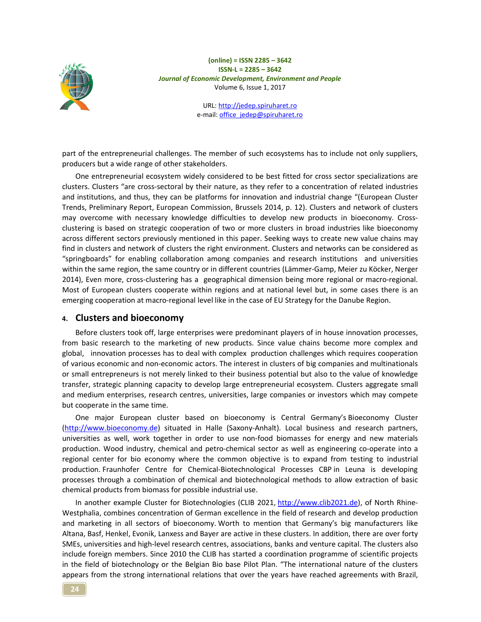

> URL: http://jedep.spiruharet.ro e-mail: office\_jedep@spiruharet.ro

part of the entrepreneurial challenges. The member of such ecosystems has to include not only suppliers, producers but a wide range of other stakeholders.

One entrepreneurial ecosystem widely considered to be best fitted for cross sector specializations are clusters. Clusters "are cross-sectoral by their nature, as they refer to a concentration of related industries and institutions, and thus, they can be platforms for innovation and industrial change "(European Cluster Trends, Preliminary Report, European Commission, Brussels 2014, p. 12). Clusters and network of clusters may overcome with necessary knowledge difficulties to develop new products in bioeconomy. Crossclustering is based on strategic cooperation of two or more clusters in broad industries like bioeconomy across different sectors previously mentioned in this paper. Seeking ways to create new value chains may find in clusters and network of clusters the right environment. Clusters and networks can be considered as "springboards" for enabling collaboration among companies and research institutions and universities within the same region, the same country or in different countries (Lämmer-Gamp, Meier zu Köcker, Nerger 2014), Even more, cross-clustering has a geographical dimension being more regional or macro-regional. Most of European clusters cooperate within regions and at national level but, in some cases there is an emerging cooperation at macro-regional level like in the case of EU Strategy for the Danube Region.

### **4. Clusters and bioeconomy**

Before clusters took off, large enterprises were predominant players of in house innovation processes, from basic research to the marketing of new products. Since value chains become more complex and global, innovation processes has to deal with complex production challenges which requires cooperation of various economic and non-economic actors. The interest in clusters of big companies and multinationals or small entrepreneurs is not merely linked to their business potential but also to the value of knowledge transfer, strategic planning capacity to develop large entrepreneurial ecosystem. Clusters aggregate small and medium enterprises, research centres, universities, large companies or investors which may compete but cooperate in the same time.

One major European cluster based on bioeconomy is Central Germany's Bioeconomy Cluster (http://www.bioeconomy.de) situated in Halle (Saxony-Anhalt). Local business and research partners, universities as well, work together in order to use non-food biomasses for energy and new materials production. Wood industry, chemical and petro-chemical sector as well as engineering co-operate into a regional center for bio economy where the common objective is to expand from testing to industrial production. Fraunhofer Centre for Chemical-Biotechnological Processes CBP in Leuna is developing processes through a combination of chemical and biotechnological methods to allow extraction of basic chemical products from biomass for possible industrial use.

In another example Cluster for Biotechnologies (CLIB 2021, http://www.clib2021.de), of North Rhine-Westphalia, combines concentration of German excellence in the field of research and develop production and marketing in all sectors of bioeconomy. Worth to mention that Germany's big manufacturers like Altana, Basf, Henkel, Evonik, Lanxess and Bayer are active in these clusters. In addition, there are over forty SMEs, universities and high-level research centres, associations, banks and venture capital. The clusters also include foreign members. Since 2010 the CLIB has started a coordination programme of scientific projects in the field of biotechnology or the Belgian Bio base Pilot Plan. "The international nature of the clusters appears from the strong international relations that over the years have reached agreements with Brazil,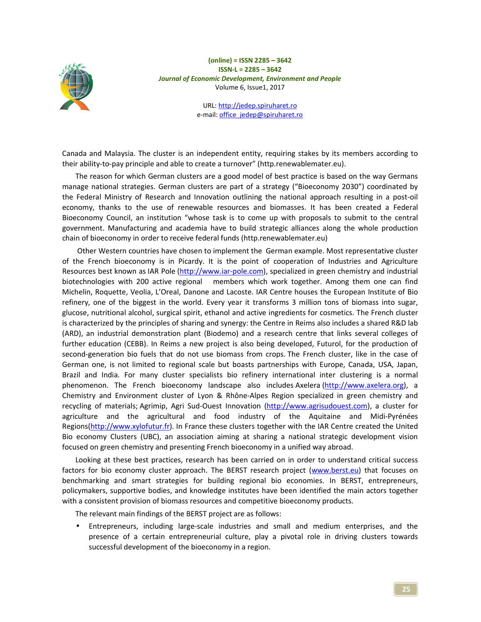

> URL: http://jedep.spiruharet.ro e-mail: office\_jedep@spiruharet.ro

Canada and Malaysia. The cluster is an independent entity, requiring stakes by its members according to their ability-to-pay principle and able to create a turnover" (http.renewablemater.eu).

The reason for which German clusters are a good model of best practice is based on the way Germans manage national strategies. German clusters are part of a strategy ("Bioeconomy 2030") coordinated by the Federal Ministry of Research and Innovation outlining the national approach resulting in a post-oil economy, thanks to the use of renewable resources and biomasses. It has been created a Federal Bioeconomy Council, an institution "whose task is to come up with proposals to submit to the central government. Manufacturing and academia have to build strategic alliances along the whole production chain of bioeconomy in order to receive federal funds (http.renewablemater.eu)

 Other Western countries have chosen to implement the German example. Most representative cluster of the French bioeconomy is in Picardy. It is the point of cooperation of Industries and Agriculture Resources best known as IAR Pole (http://www.iar-pole.com), specialized in green chemistry and industrial biotechnologies with 200 active regional members which work together. Among them one can find Michelin, Roquette, Veolia, L'Oreal, Danone and Lacoste. IAR Centre houses the European Institute of Bio refinery, one of the biggest in the world. Every year it transforms 3 million tons of biomass into sugar, glucose, nutritional alcohol, surgical spirit, ethanol and active ingredients for cosmetics. The French cluster is characterized by the principles of sharing and synergy: the Centre in Reims also includes a shared R&D lab (ARD), an industrial demonstration plant (Biodemo) and a research centre that links several colleges of further education (CEBB). In Reims a new project is also being developed, Futurol, for the production of second-generation bio fuels that do not use biomass from crops. The French cluster, like in the case of German one, is not limited to regional scale but boasts partnerships with Europe, Canada, USA, Japan, Brazil and India. For many cluster specialists bio refinery international inter clustering is a normal phenomenon. The French bioeconomy landscape also includes Axelera (http://www.axelera.org), a Chemistry and Environment cluster of Lyon & Rhône-Alpes Region specialized in green chemistry and recycling of materials; Agrimip, Agri Sud-Ouest Innovation (http://www.agrisudouest.com), a cluster for agriculture and the agricultural and food industry of the Aquitaine and Midi-Pyrénées Regions(http://www.xylofutur.fr). In France these clusters together with the IAR Centre created the United Bio economy Clusters (UBC), an association aiming at sharing a national strategic development vision focused on green chemistry and presenting French bioeconomy in a unified way abroad.

Looking at these best practices, research has been carried on in order to understand critical success factors for bio economy cluster approach. The BERST research project (www.berst.eu) that focuses on benchmarking and smart strategies for building regional bio economies. In BERST, entrepreneurs, policymakers, supportive bodies, and knowledge institutes have been identified the main actors together with a consistent provision of biomass resources and competitive bioeconomy products.

The relevant main findings of the BERST project are as follows:

• Entrepreneurs, including large-scale industries and small and medium enterprises, and the presence of a certain entrepreneurial culture, play a pivotal role in driving clusters towards successful development of the bioeconomy in a region.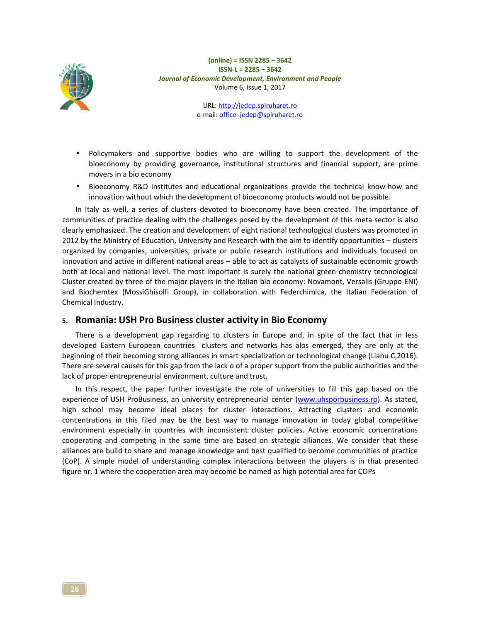

> URL: http://jedep.spiruharet.ro e-mail: office\_jedep@spiruharet.ro

- Policymakers and supportive bodies who are willing to support the development of the bioeconomy by providing governance, institutional structures and financial support, are prime movers in a bio economy
- Bioeconomy R&D institutes and educational organizations provide the technical know-how and innovation without which the development of bioeconomy products would not be possible.

In Italy as well, a series of clusters devoted to bioeconomy have been created. The importance of communities of practice dealing with the challenges posed by the development of this meta sector is also clearly emphasized. The creation and development of eight national technological clusters was promoted in 2012 by the Ministry of Education, University and Research with the aim to identify opportunities – clusters organized by companies, universities, private or public research institutions and individuals focused on innovation and active in different national areas – able to act as catalysts of sustainable economic growth both at local and national level. The most important is surely the national green chemistry technological Cluster created by three of the major players in the Italian bio economy: Novamont, Versalis (Gruppo ENI) and Biochemtex (MossiGhisolfi Group), in collaboration with Federchimica, the Italian Federation of Chemical Industry.

### **5. Romania: USH Pro Business cluster activity in Bio Economy**

There is a development gap regarding to clusters in Europe and, in spite of the fact that in less developed Eastern European countries clusters and networks has alos emerged, they are only at the beginning of their becoming strong alliances in smart specialization or technological change (Lianu C,2016). There are several causes for this gap from the lack o of a proper support from the public authorities and the lack of proper entrepreneurial environment, culture and trust.

In this respect, the paper further investigate the role of universities to fill this gap based on the experience of USH ProBusiness, an university entrepreneurial center (www.uhsporbusiness.ro). As stated, high school may become ideal places for cluster interactions. Attracting clusters and economic concentrations in this filed may be the best way to manage innovation in today global competitive environment especially in countries with inconsistent cluster policies. Active economic concentrations cooperating and competing in the same time are based on strategic alliances. We consider that these alliances are build to share and manage knowledge and best qualified to become communities of practice (CoP). A simple model of understanding complex interactions between the players is in that presented figure nr. 1 where the cooperation area may become be named as high potential area for COPs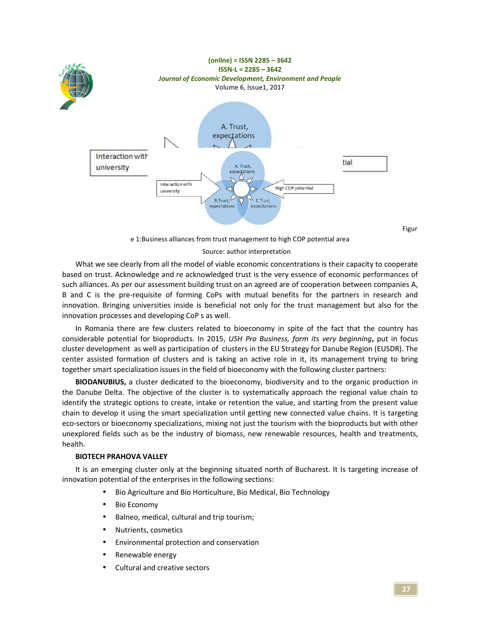

e 1:Business alliances from trust management to high COP potential area

#### Source: author interpretation

What we see clearly from all the model of viable economic concentrations is their capacity to cooperate based on trust. Acknowledge and re acknowledged trust is the very essence of economic performances of such alliances. As per our assessment building trust on an agreed are of cooperation between companies A, B and C is the pre-requisite of forming CoPs with mutual benefits for the partners in research and innovation. Bringing universities inside is beneficial not only for the trust management but also for the innovation processes and developing CoP s as well.

In Romania there are few clusters related to bioeconomy in spite of the fact that the country has considerable potential for bioproducts. In 2015, *USH Pro Business, form its very beginning***,** put in focus cluster development as well as participation of clusters in the EU Strategy for Danube Region (EUSDR). The center assisted formation of clusters and is taking an active role in it, its management trying to bring together smart specialization issues in the field of bioeconomy with the following cluster partners:

**BIODANUBIUS,** a cluster dedicated to the bioeconomy, biodiversity and to the organic production in the Danube Delta. The objective of the cluster is to systematically approach the regional value chain to identify the strategic options to create, intake or retention the value, and starting from the present value chain to develop it using the smart specialization until getting new connected value chains. It is targeting eco-sectors or bioeconomy specializations, mixing not just the tourism with the bioproducts but with other unexplored fields such as be the industry of biomass, new renewable resources, health and treatments, health.

#### **BIOTECH PRAHOVA VALLEY**

It is an emerging cluster only at the beginning situated north of Bucharest. It Is targeting increase of innovation potential of the enterprises in the following sections:

- Bio Agriculture and Bio Horticulture, Bio Medical, Bio Technology
- **Bio Economy**
- Balneo, medical, cultural and trip tourism;
- Nutrients, cosmetics
- Environmental protection and conservation
- Renewable energy
- Cultural and creative sectors

Figur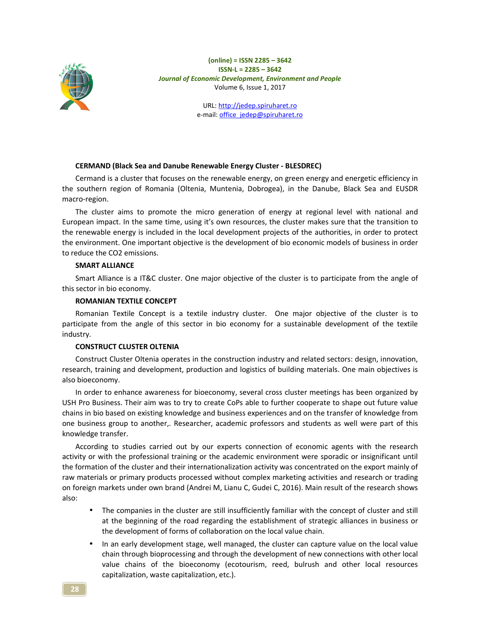

> URL: http://jedep.spiruharet.ro e-mail: office\_jedep@spiruharet.ro

### **CERMAND (Black Sea and Danube Renewable Energy Cluster - BLESDREC)**

Cermand is a cluster that focuses on the renewable energy, on green energy and energetic efficiency in the southern region of Romania (Oltenia, Muntenia, Dobrogea), in the Danube, Black Sea and EUSDR macro-region.

The cluster aims to promote the micro generation of energy at regional level with national and European impact. In the same time, using it's own resources, the cluster makes sure that the transition to the renewable energy is included in the local development projects of the authorities, in order to protect the environment. One important objective is the development of bio economic models of business in order to reduce the CO2 emissions.

### **SMART ALLIANCE**

Smart Alliance is a IT&C cluster. One major objective of the cluster is to participate from the angle of this sector in bio economy.

### **ROMANIAN TEXTILE CONCEPT**

Romanian Textile Concept is a textile industry cluster. One major objective of the cluster is to participate from the angle of this sector in bio economy for a sustainable development of the textile industry.

### **CONSTRUCT CLUSTER OLTENIA**

Construct Cluster Oltenia operates in the construction industry and related sectors: design, innovation, research, training and development, production and logistics of building materials. One main objectives is also bioeconomy.

In order to enhance awareness for bioeconomy, several cross cluster meetings has been organized by USH Pro Business. Their aim was to try to create CoPs able to further cooperate to shape out future value chains in bio based on existing knowledge and business experiences and on the transfer of knowledge from one business group to another,. Researcher, academic professors and students as well were part of this knowledge transfer.

According to studies carried out by our experts connection of economic agents with the research activity or with the professional training or the academic environment were sporadic or insignificant until the formation of the cluster and their internationalization activity was concentrated on the export mainly of raw materials or primary products processed without complex marketing activities and research or trading on foreign markets under own brand (Andrei M, Lianu C, Gudei C, 2016). Main result of the research shows also:

- The companies in the cluster are still insufficiently familiar with the concept of cluster and still at the beginning of the road regarding the establishment of strategic alliances in business or the development of forms of collaboration on the local value chain.
- In an early development stage, well managed, the cluster can capture value on the local value chain through bioprocessing and through the development of new connections with other local value chains of the bioeconomy (ecotourism, reed, bulrush and other local resources capitalization, waste capitalization, etc.).